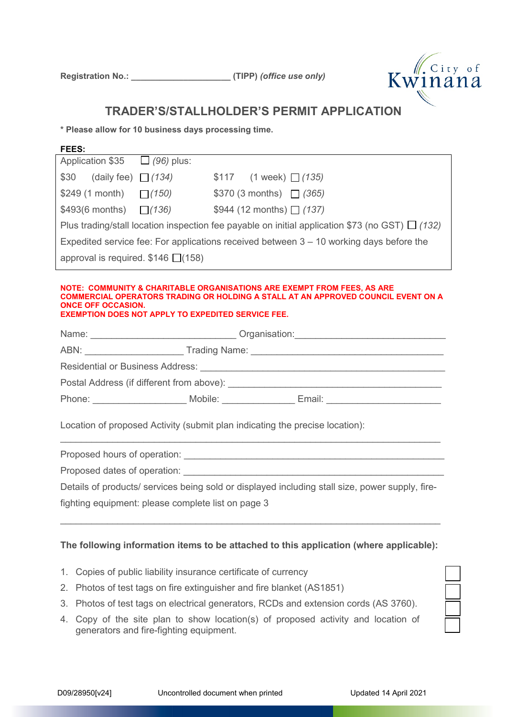

### **TRADER'S/STALLHOLDER'S PERMIT APPLICATION**

**\* Please allow for 10 business days processing time.**

#### **FEES:**

| Application $$35$ $\Box$ (96) plus:                                                                  |  |                          |  |  |
|------------------------------------------------------------------------------------------------------|--|--------------------------|--|--|
| \$30 (daily fee) $(134)$                                                                             |  | $$117$ (1 week) $(135)$  |  |  |
| \$249 (1 month) $\Box$ (150)                                                                         |  | $$370 (3 months)$ (365)  |  |  |
| $$493(6 months)$ (136)                                                                               |  | $$944 (12 months)$ (137) |  |  |
| Plus trading/stall location inspection fee payable on initial application \$73 (no GST) $\Box$ (132) |  |                          |  |  |
| Expedited service fee: For applications received between $3 - 10$ working days before the            |  |                          |  |  |
| approval is required. $$146$ $\Box(158)$                                                             |  |                          |  |  |

#### **NOTE: COMMUNITY & CHARITABLE ORGANISATIONS ARE EXEMPT FROM FEES, AS ARE COMMERCIAL OPERATORS TRADING OR HOLDING A STALL AT AN APPROVED COUNCIL EVENT ON A ONCE OFF OCCASION. EXEMPTION DOES NOT APPLY TO EXPEDITED SERVICE FEE.**

| Name:                                           |         | Organisation: 2001 |  |  |
|-------------------------------------------------|---------|--------------------|--|--|
|                                                 |         |                    |  |  |
| <b>Residential or Business Address:</b>         |         |                    |  |  |
| Postal Address (if different from above): _____ |         |                    |  |  |
| Phone:                                          | Mobile: | Email:             |  |  |

Location of proposed Activity (submit plan indicating the precise location):

Proposed hours of operation: \_\_\_\_\_\_\_\_\_\_\_\_\_\_\_\_\_\_\_\_\_\_\_\_\_\_\_\_\_\_\_\_\_\_\_\_\_\_\_\_\_\_\_\_\_\_\_\_\_\_

Proposed dates of operation:

Details of products/ services being sold or displayed including stall size, power supply, fire-

 $\_$  , and the set of the set of the set of the set of the set of the set of the set of the set of the set of the set of the set of the set of the set of the set of the set of the set of the set of the set of the set of th

fighting equipment: please complete list on page 3

### **The following information items to be attached to this application (where applicable):**

 $\_$  , and the set of the set of the set of the set of the set of the set of the set of the set of the set of the set of the set of the set of the set of the set of the set of the set of the set of the set of the set of th

- 1. Copies of public liability insurance certificate of currency
- 2. Photos of test tags on fire extinguisher and fire blanket (AS1851)
- 3. Photos of test tags on electrical generators, RCDs and extension cords (AS 3760).
- 4. Copy of the site plan to show location(s) of proposed activity and location of generators and fire-fighting equipment.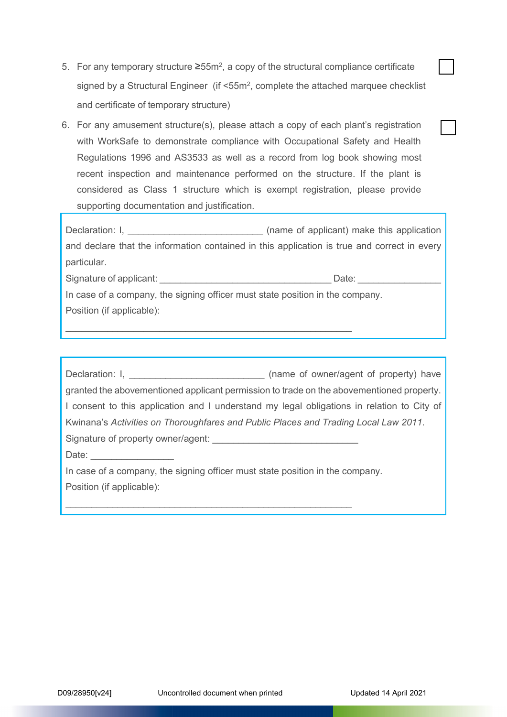- 5. For any temporary structure  $\geq 55$ m<sup>2</sup>, a copy of the structural compliance certificate signed by a Structural Engineer (if <55m<sup>2</sup>, complete the attached marquee checklist and certificate of temporary structure)
- 6. For any amusement structure(s), please attach a copy of each plant's registration with WorkSafe to demonstrate compliance with Occupational Safety and Health Regulations 1996 and AS3533 as well as a record from log book showing most recent inspection and maintenance performed on the structure. If the plant is considered as Class 1 structure which is exempt registration, please provide supporting documentation and justification.

Declaration: I, \_\_\_\_\_\_\_\_\_\_\_\_\_\_\_\_\_\_\_\_\_\_\_\_\_\_ (name of applicant) make this application and declare that the information contained in this application is true and correct in every particular.

Signature of applicant: example of the state of the state of the state of the state of the state of the state o

In case of a company, the signing officer must state position in the company. Position (if applicable):

\_\_\_\_\_\_\_\_\_\_\_\_\_\_\_\_\_\_\_\_\_\_\_\_\_\_\_\_\_\_\_\_\_\_\_\_\_\_\_\_\_\_\_\_\_\_\_\_\_\_\_\_\_\_\_

\_\_\_\_\_\_\_\_\_\_\_\_\_\_\_\_\_\_\_\_\_\_\_\_\_\_\_\_\_\_\_\_\_\_\_\_\_\_\_\_\_\_\_\_\_\_\_\_\_\_\_\_\_\_\_

| Declaration: I, <u>Declaration:</u> I,                                                     | (name of owner/agent of property) have |
|--------------------------------------------------------------------------------------------|----------------------------------------|
| granted the abovementioned applicant permission to trade on the abovementioned property.   |                                        |
| I consent to this application and I understand my legal obligations in relation to City of |                                        |
| Kwinana's Activities on Thoroughfares and Public Places and Trading Local Law 2011.        |                                        |
|                                                                                            |                                        |
| Date: <u>_________</u>                                                                     |                                        |
| In case of a company, the signing officer must state position in the company.              |                                        |
| Position (if applicable):                                                                  |                                        |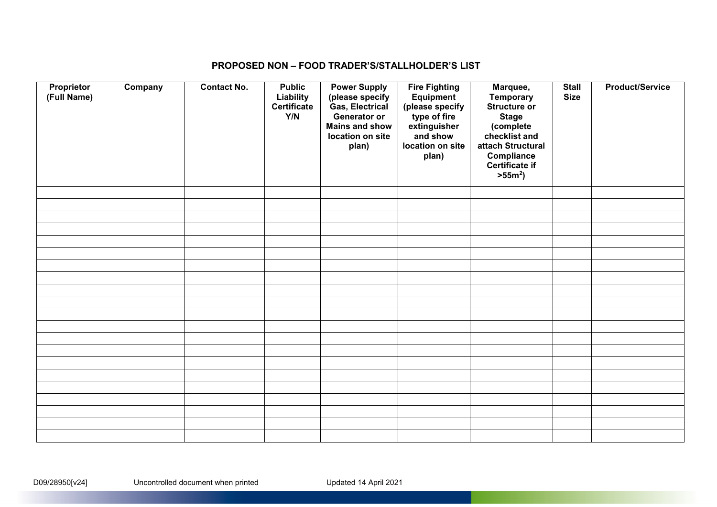### **PROPOSED NON – FOOD TRADER'S/STALLHOLDER'S LIST**

| Proprietor<br>(Full Name) | Company | <b>Contact No.</b> | <b>Public</b><br>Liability<br><b>Certificate</b><br>Y/N | <b>Power Supply</b><br>(please specify<br>Gas, Electrical<br>Generator or<br><b>Mains and show</b><br>location on site<br>plan) | <b>Fire Fighting</b><br><b>Equipment</b><br>(please specify<br>type of fire<br>extinguisher<br>and show<br>location on site<br>plan) | Marquee,<br><b>Temporary</b><br><b>Structure or</b><br><b>Stage</b><br>(complete<br>checklist and<br>attach Structural<br>Compliance<br><b>Certificate if</b><br>$>55m^2$ ) | <b>Stall</b><br><b>Size</b> | <b>Product/Service</b> |
|---------------------------|---------|--------------------|---------------------------------------------------------|---------------------------------------------------------------------------------------------------------------------------------|--------------------------------------------------------------------------------------------------------------------------------------|-----------------------------------------------------------------------------------------------------------------------------------------------------------------------------|-----------------------------|------------------------|
|                           |         |                    |                                                         |                                                                                                                                 |                                                                                                                                      |                                                                                                                                                                             |                             |                        |
|                           |         |                    |                                                         |                                                                                                                                 |                                                                                                                                      |                                                                                                                                                                             |                             |                        |
|                           |         |                    |                                                         |                                                                                                                                 |                                                                                                                                      |                                                                                                                                                                             |                             |                        |
|                           |         |                    |                                                         |                                                                                                                                 |                                                                                                                                      |                                                                                                                                                                             |                             |                        |
|                           |         |                    |                                                         |                                                                                                                                 |                                                                                                                                      |                                                                                                                                                                             |                             |                        |
|                           |         |                    |                                                         |                                                                                                                                 |                                                                                                                                      |                                                                                                                                                                             |                             |                        |
|                           |         |                    |                                                         |                                                                                                                                 |                                                                                                                                      |                                                                                                                                                                             |                             |                        |
|                           |         |                    |                                                         |                                                                                                                                 |                                                                                                                                      |                                                                                                                                                                             |                             |                        |
|                           |         |                    |                                                         |                                                                                                                                 |                                                                                                                                      |                                                                                                                                                                             |                             |                        |
|                           |         |                    |                                                         |                                                                                                                                 |                                                                                                                                      |                                                                                                                                                                             |                             |                        |
|                           |         |                    |                                                         |                                                                                                                                 |                                                                                                                                      |                                                                                                                                                                             |                             |                        |
|                           |         |                    |                                                         |                                                                                                                                 |                                                                                                                                      |                                                                                                                                                                             |                             |                        |
|                           |         |                    |                                                         |                                                                                                                                 |                                                                                                                                      |                                                                                                                                                                             |                             |                        |
|                           |         |                    |                                                         |                                                                                                                                 |                                                                                                                                      |                                                                                                                                                                             |                             |                        |
|                           |         |                    |                                                         |                                                                                                                                 |                                                                                                                                      |                                                                                                                                                                             |                             |                        |
|                           |         |                    |                                                         |                                                                                                                                 |                                                                                                                                      |                                                                                                                                                                             |                             |                        |
|                           |         |                    |                                                         |                                                                                                                                 |                                                                                                                                      |                                                                                                                                                                             |                             |                        |
|                           |         |                    |                                                         |                                                                                                                                 |                                                                                                                                      |                                                                                                                                                                             |                             |                        |
|                           |         |                    |                                                         |                                                                                                                                 |                                                                                                                                      |                                                                                                                                                                             |                             |                        |
|                           |         |                    |                                                         |                                                                                                                                 |                                                                                                                                      |                                                                                                                                                                             |                             |                        |
|                           |         |                    |                                                         |                                                                                                                                 |                                                                                                                                      |                                                                                                                                                                             |                             |                        |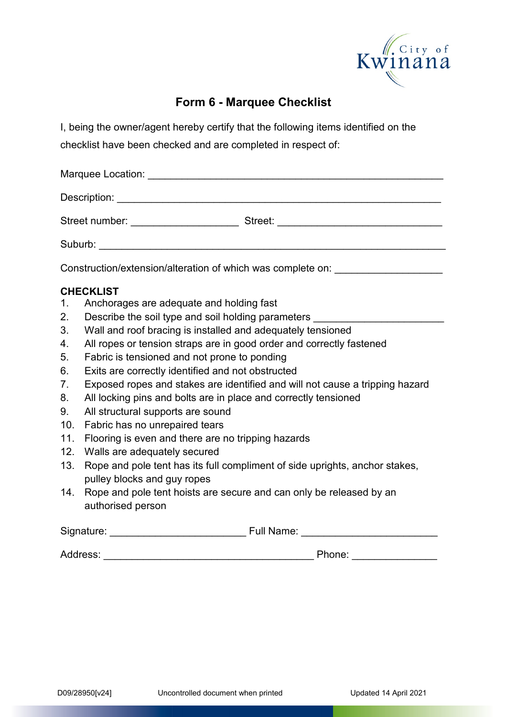

## **Form 6 - Marquee Checklist**

I, being the owner/agent hereby certify that the following items identified on the checklist have been checked and are completed in respect of:

| Construction/extension/alteration of which was complete on: ____________________ |                                                                                  |  |  |  |  |
|----------------------------------------------------------------------------------|----------------------------------------------------------------------------------|--|--|--|--|
|                                                                                  | <b>CHECKLIST</b>                                                                 |  |  |  |  |
| 1.                                                                               | Anchorages are adequate and holding fast                                         |  |  |  |  |
| 2.                                                                               | Describe the soil type and soil holding parameters _____________________________ |  |  |  |  |
| 3.                                                                               | Wall and roof bracing is installed and adequately tensioned                      |  |  |  |  |
| 4.                                                                               | All ropes or tension straps are in good order and correctly fastened             |  |  |  |  |
| 5.                                                                               | Fabric is tensioned and not prone to ponding                                     |  |  |  |  |
| 6.                                                                               | Exits are correctly identified and not obstructed                                |  |  |  |  |
| 7.                                                                               | Exposed ropes and stakes are identified and will not cause a tripping hazard     |  |  |  |  |
| 8.                                                                               | All locking pins and bolts are in place and correctly tensioned                  |  |  |  |  |
| 9.                                                                               | All structural supports are sound                                                |  |  |  |  |
| 10.                                                                              | Fabric has no unrepaired tears                                                   |  |  |  |  |
| 11.                                                                              | Flooring is even and there are no tripping hazards                               |  |  |  |  |
| 12.                                                                              | Walls are adequately secured                                                     |  |  |  |  |
| 13.                                                                              | Rope and pole tent has its full compliment of side uprights, anchor stakes,      |  |  |  |  |
|                                                                                  | pulley blocks and guy ropes                                                      |  |  |  |  |
| 14.                                                                              | Rope and pole tent hoists are secure and can only be released by an              |  |  |  |  |
| authorised person                                                                |                                                                                  |  |  |  |  |
|                                                                                  |                                                                                  |  |  |  |  |

Address: \_\_\_\_\_\_\_\_\_\_\_\_\_\_\_\_\_\_\_\_\_\_\_\_\_\_\_\_\_\_\_\_\_\_\_\_\_ Phone: \_\_\_\_\_\_\_\_\_\_\_\_\_\_\_